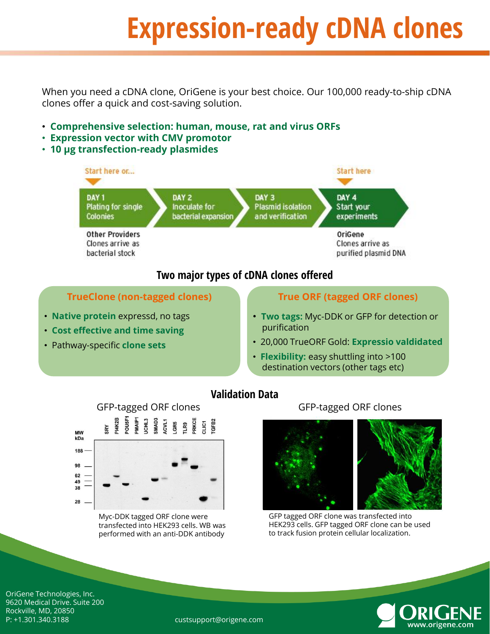# **Expression-ready cDNA clones**

When you need a cDNA clone, OriGene is your best choice. Our 100,000 ready-to-ship cDNA clones offer a quick and cost-saving solution.

- **Comprehensive selection: human, mouse, rat and virus ORFs**
- **Expression vector with CMV promotor**
- **10 µg transfection-ready plasmides**



### **Two major types of cDNA clones offered**

#### **TrueClone (non-tagged clones)**

- **Native protein** expressd, no tags
- **Cost effective and time saving**
- Pathway-specific **clone sets**

#### **True ORF (tagged ORF clones)**

- **Two tags:** Myc-DDK or GFP for detection or purification
- 20,000 TrueORF Gold: **Expressio valdidated**
- **Flexibility:** easy shuttling into >100 destination vectors (other tags etc)





Myc-DDK tagged ORF clone were transfected into HEK293 cells. WB was performed with an anti-DDK antibody

#### GFP-tagged ORF clones



GFP tagged ORF clone was transfected into HEK293 cells. GFP tagged ORF clone can be used to track fusion protein cellular localization.



OriGene Technologies, Inc. 9620 Medical Drive. Suite 200 Rockville, MD, 20850 P: +1.301.340.3188 custsupport@origene.com